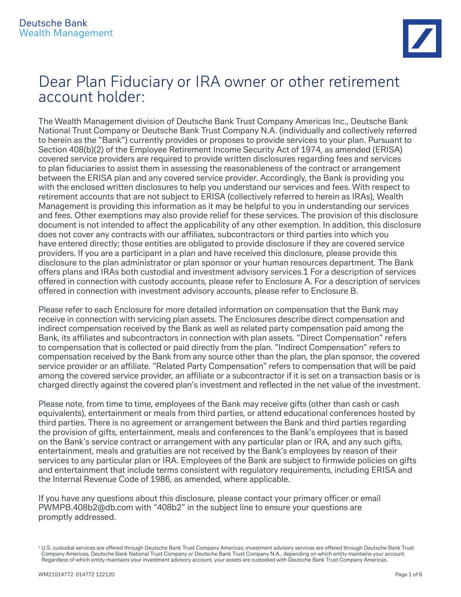

# Dear Plan Fiduciary or IRA owner or other retirement account holder:

The Wealth Management division of Deutsche Bank Trust Company Americas Inc., Deutsche Bank National Trust Company or Deutsche Bank Trust Company N.A. (individually and collectively referred to herein as the "Bank") currently provides or proposes to provide services to your plan. Pursuant to Section 408(b)(2) of the Employee Retirement Income Security Act of 1974, as amended (ERISA) covered service providers are required to provide written disclosures regarding fees and services to plan fiduciaries to assist them in assessing the reasonableness of the contract or arrangement between the ERISA plan and any covered service provider. Accordingly, the Bank is providing you with the enclosed written disclosures to help you understand our services and fees. With respect to retirement accounts that are not subject to ERISA (collectively referred to herein as IRAs), Wealth Management is providing this information as it may be helpful to you in understanding our services and fees. Other exemptions may also provide relief for these services. The provision of this disclosure document is not intended to affect the applicability of any other exemption. In addition, this disclosure does not cover any contracts with our affiliates, subcontractors or third parties into which you have entered directly; those entities are obligated to provide disclosure if they are covered service providers. If you are a participant in a plan and have received this disclosure, please provide this disclosure to the plan administrator or plan sponsor or your human resources department. The Bank offers plans and IRAs both custodial and investment advisory services.1 For a description of services offered in connection with custody accounts, please refer to Enclosure A. For a description of services offered in connection with investment advisory accounts, please refer to Enclosure B.

Please refer to each Enclosure for more detailed information on compensation that the Bank may receive in connection with servicing plan assets. The Enclosures describe direct compensation and indirect compensation received by the Bank as well as related party compensation paid among the Bank, its affiliates and subcontractors in connection with plan assets. "Direct Compensation" refers to compensation that is collected or paid directly from the plan. "Indirect Compensation" refers to compensation received by the Bank from any source other than the plan, the plan sponsor, the covered service provider or an affiliate. "Related Party Compensation" refers to compensation that will be paid among the covered service provider, an affiliate or a subcontractor if it is set on a transaction basis or is charged directly against the covered plan's investment and reflected in the net value of the investment.

Please note, from time to time, employees of the Bank may receive gifts (other than cash or cash equivalents), entertainment or meals from third parties, or attend educational conferences hosted by third parties. There is no agreement or arrangement between the Bank and third parties regarding the provision of gifts, entertainment, meals and conferences to the Bank's employees that is based on the Bank's service contract or arrangement with any particular plan or IRA, and any such gifts, entertainment, meals and gratuities are not received by the Bank's employees by reason of their services to any particular plan or IRA. Employees of the Bank are subject to firmwide policies on gifts and entertainment that include terms consistent with regulatory requirements, including ERISA and the Internal Revenue Code of 1986, as amended, where applicable.

If you have any questions about this disclosure, please contact your primary officer or email PWMPB.408b2@db.com with "408b2" in the subject line to ensure your questions are promptly addressed.

<sup>1</sup> U.S. custodial services are offered through Deutsche Bank Trust Company Americas; investment advisory services are offered through Deutsche Bank Trust Company Americas, Deutsche Bank National Trust Company or Deutsche Bank Trust Company N.A., depending on which entity maintains your account. Regardless of which entity maintains your investment advisory account, your assets are custodied with Deutsche Bank Trust Company Americas.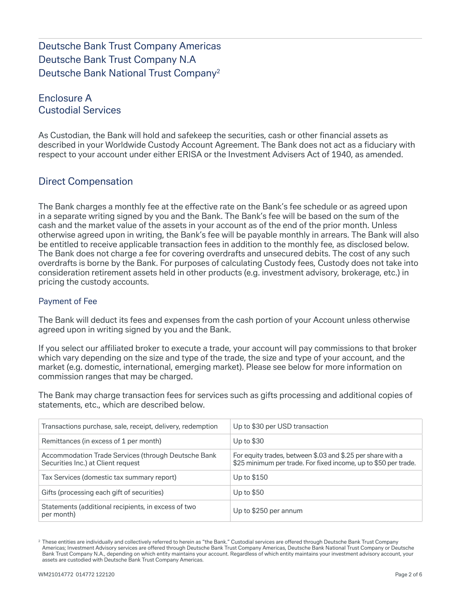# Deutsche Bank Trust Company Americas Deutsche Bank Trust Company N.A Deutsche Bank National Trust Company2

# Enclosure A Custodial Services

As Custodian, the Bank will hold and safekeep the securities, cash or other financial assets as described in your Worldwide Custody Account Agreement. The Bank does not act as a fiduciary with respect to your account under either ERISA or the Investment Advisers Act of 1940, as amended.

# Direct Compensation

The Bank charges a monthly fee at the effective rate on the Bank's fee schedule or as agreed upon in a separate writing signed by you and the Bank. The Bank's fee will be based on the sum of the cash and the market value of the assets in your account as of the end of the prior month. Unless otherwise agreed upon in writing, the Bank's fee will be payable monthly in arrears. The Bank will also be entitled to receive applicable transaction fees in addition to the monthly fee, as disclosed below. The Bank does not charge a fee for covering overdrafts and unsecured debits. The cost of any such overdrafts is borne by the Bank. For purposes of calculating Custody fees, Custody does not take into consideration retirement assets held in other products (e.g. investment advisory, brokerage, etc.) in pricing the custody accounts.

#### Payment of Fee

The Bank will deduct its fees and expenses from the cash portion of your Account unless otherwise agreed upon in writing signed by you and the Bank.

If you select our affiliated broker to execute a trade, your account will pay commissions to that broker which vary depending on the size and type of the trade, the size and type of your account, and the market (e.g. domestic, international, emerging market). Please see below for more information on commission ranges that may be charged.

The Bank may charge transaction fees for services such as gifts processing and additional copies of statements, etc., which are described below.

| Transactions purchase, sale, receipt, delivery, redemption                                | Up to \$30 per USD transaction                                                                                                 |
|-------------------------------------------------------------------------------------------|--------------------------------------------------------------------------------------------------------------------------------|
| Remittances (in excess of 1 per month)                                                    | Up to $$30$                                                                                                                    |
| Accommodation Trade Services (through Deutsche Bank<br>Securities Inc.) at Client request | For equity trades, between \$.03 and \$.25 per share with a<br>\$25 minimum per trade. For fixed income, up to \$50 per trade. |
| Tax Services (domestic tax summary report)                                                | Up to \$150                                                                                                                    |
| Gifts (processing each gift of securities)                                                | Up to $$50$                                                                                                                    |
| Statements (additional recipients, in excess of two<br>per month)                         | Up to \$250 per annum                                                                                                          |

<sup>&</sup>lt;sup>2</sup> These entities are individually and collectively referred to herein as "the Bank." Custodial services are offered through Deutsche Bank Trust Company Americas; Investment Advisory services are offered through Deutsche Bank Trust Company Americas, Deutsche Bank National Trust Company or Deutsche Bank Trust Company N.A., depending on which entity maintains your account. Regardless of which entity maintains your investment advisory account, your assets are custodied with Deutsche Bank Trust Company Americas.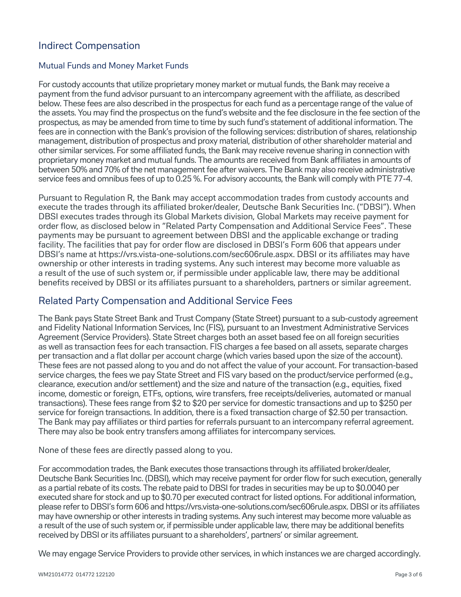# Indirect Compensation

#### Mutual Funds and Money Market Funds

For custody accounts that utilize proprietary money market or mutual funds, the Bank may receive a payment from the fund advisor pursuant to an intercompany agreement with the affiliate, as described below. These fees are also described in the prospectus for each fund as a percentage range of the value of the assets. You may find the prospectus on the fund's website and the fee disclosure in the fee section of the prospectus, as may be amended from time to time by such fund's statement of additional information. The fees are in connection with the Bank's provision of the following services: distribution of shares, relationship management, distribution of prospectus and proxy material, distribution of other shareholder material and other similar services. For some affiliated funds, the Bank may receive revenue sharing in connection with proprietary money market and mutual funds. The amounts are received from Bank affiliates in amounts of between 50% and 70% of the net management fee after waivers. The Bank may also receive administrative service fees and omnibus fees of up to 0.25 %. For advisory accounts, the Bank will comply with PTE 77-4.

Pursuant to Regulation R, the Bank may accept accommodation trades from custody accounts and execute the trades through its affiliated broker/dealer, Deutsche Bank Securities Inc. ("DBSI"). When DBSI executes trades through its Global Markets division, Global Markets may receive payment for order flow, as disclosed below in "Related Party Compensation and Additional Service Fees". These payments may be pursuant to agreement between DBSI and the applicable exchange or trading facility. The facilities that pay for order flow are disclosed in DBSI's Form 606 that appears under DBSI's name at https://vrs.vista-one-solutions.com/sec606rule.aspx. DBSI or its affiliates may have ownership or other interests in trading systems. Any such interest may become more valuable as a result of the use of such system or, if permissible under applicable law, there may be additional benefits received by DBSI or its affiliates pursuant to a shareholders, partners or similar agreement.

## Related Party Compensation and Additional Service Fees

The Bank pays State Street Bank and Trust Company (State Street) pursuant to a sub-custody agreement and Fidelity National Information Services, Inc (FIS), pursuant to an Investment Administrative Services Agreement (Service Providers). State Street charges both an asset based fee on all foreign securities as well as transaction fees for each transaction. FIS charges a fee based on all assets, separate charges per transaction and a flat dollar per account charge (which varies based upon the size of the account). These fees are not passed along to you and do not affect the value of your account. For transaction-based service charges, the fees we pay State Street and FIS vary based on the product/service performed (e.g., clearance, execution and/or settlement) and the size and nature of the transaction (e.g., equities, fixed income, domestic or foreign, ETFs, options, wire transfers, free receipts/deliveries, automated or manual transactions). These fees range from \$2 to \$20 per service for domestic transactions and up to \$250 per service for foreign transactions. In addition, there is a fixed transaction charge of \$2.50 per transaction. The Bank may pay affiliates or third parties for referrals pursuant to an intercompany referral agreement. There may also be book entry transfers among affiliates for intercompany services.

None of these fees are directly passed along to you.

For accommodation trades, the Bank executes those transactions through its affiliated broker/dealer, Deutsche Bank Securities Inc. (DBSI), which may receive payment for order flow for such execution, generally as a partial rebate of its costs. The rebate paid to DBSI for trades in securities may be up to \$0.0040 per executed share for stock and up to \$0.70 per executed contract for listed options. For additional information, please refer to DBSI's form 606 and https://vrs.vista-one-solutions.com/sec606rule.aspx. DBSI or its affiliates may have ownership or other interests in trading systems. Any such interest may become more valuable as a result of the use of such system or, if permissible under applicable law, there may be additional benefits received by DBSI or its affiliates pursuant to a shareholders', partners' or similar agreement.

We may engage Service Providers to provide other services, in which instances we are charged accordingly.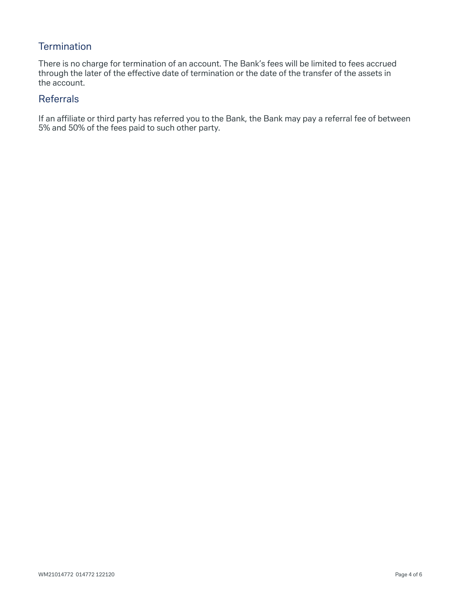# **Termination**

There is no charge for termination of an account. The Bank's fees will be limited to fees accrued through the later of the effective date of termination or the date of the transfer of the assets in the account.

### Referrals

If an affiliate or third party has referred you to the Bank, the Bank may pay a referral fee of between 5% and 50% of the fees paid to such other party.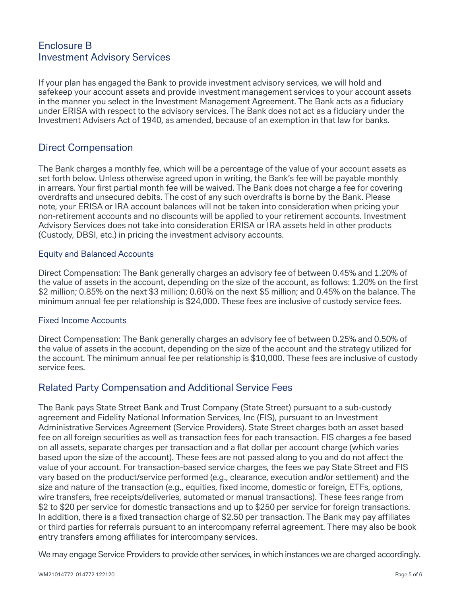# Enclosure B Investment Advisory Services

If your plan has engaged the Bank to provide investment advisory services, we will hold and safekeep your account assets and provide investment management services to your account assets in the manner you select in the Investment Management Agreement. The Bank acts as a fiduciary under ERISA with respect to the advisory services. The Bank does not act as a fiduciary under the Investment Advisers Act of 1940, as amended, because of an exemption in that law for banks.

## Direct Compensation

The Bank charges a monthly fee, which will be a percentage of the value of your account assets as set forth below. Unless otherwise agreed upon in writing, the Bank's fee will be payable monthly in arrears. Your first partial month fee will be waived. The Bank does not charge a fee for covering overdrafts and unsecured debits. The cost of any such overdrafts is borne by the Bank. Please note, your ERISA or IRA account balances will not be taken into consideration when pricing your non-retirement accounts and no discounts will be applied to your retirement accounts. Investment Advisory Services does not take into consideration ERISA or IRA assets held in other products (Custody, DBSI, etc.) in pricing the investment advisory accounts.

#### Equity and Balanced Accounts

Direct Compensation: The Bank generally charges an advisory fee of between 0.45% and 1.20% of the value of assets in the account, depending on the size of the account, as follows: 1.20% on the first \$2 million; 0.85% on the next \$3 million; 0.60% on the next \$5 million; and 0.45% on the balance. The minimum annual fee per relationship is \$24,000. These fees are inclusive of custody service fees.

#### Fixed Income Accounts

Direct Compensation: The Bank generally charges an advisory fee of between 0.25% and 0.50% of the value of assets in the account, depending on the size of the account and the strategy utilized for the account. The minimum annual fee per relationship is \$10,000. These fees are inclusive of custody service fees.

# Related Party Compensation and Additional Service Fees

The Bank pays State Street Bank and Trust Company (State Street) pursuant to a sub-custody agreement and Fidelity National Information Services, Inc (FIS), pursuant to an Investment Administrative Services Agreement (Service Providers). State Street charges both an asset based fee on all foreign securities as well as transaction fees for each transaction. FIS charges a fee based on all assets, separate charges per transaction and a flat dollar per account charge (which varies based upon the size of the account). These fees are not passed along to you and do not affect the value of your account. For transaction-based service charges, the fees we pay State Street and FIS vary based on the product/service performed (e.g., clearance, execution and/or settlement) and the size and nature of the transaction (e.g., equities, fixed income, domestic or foreign, ETFs, options, wire transfers, free receipts/deliveries, automated or manual transactions). These fees range from \$2 to \$20 per service for domestic transactions and up to \$250 per service for foreign transactions. In addition, there is a fixed transaction charge of \$2.50 per transaction. The Bank may pay affiliates or third parties for referrals pursuant to an intercompany referral agreement. There may also be book entry transfers among affiliates for intercompany services.

We may engage Service Providers to provide other services, in which instances we are charged accordingly.